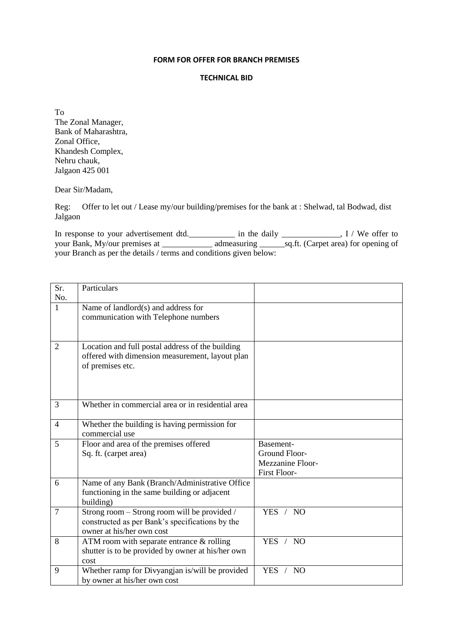## **FORM FOR OFFER FOR BRANCH PREMISES**

## **TECHNICAL BID**

To The Zonal Manager, Bank of Maharashtra, Zonal Office, Khandesh Complex, Nehru chauk, Jalgaon 425 001

Dear Sir/Madam,

Reg: Offer to let out / Lease my/our building/premises for the bank at : Shelwad, tal Bodwad, dist Jalgaon

In response to your advertisement dtd.\_\_\_\_\_\_\_\_\_\_\_\_ in the daily \_\_\_\_\_\_\_\_\_\_\_\_, I / We offer to your Bank, My/our premises at \_\_\_\_\_\_\_\_\_\_\_\_\_\_\_ admeasuring \_\_\_\_\_\_\_\_sq.ft. (Carpet area) for opening of your Branch as per the details / terms and conditions given below:

| Sr.            | Particulars                                       |                     |
|----------------|---------------------------------------------------|---------------------|
| No.            |                                                   |                     |
| 1              | Name of landlord(s) and address for               |                     |
|                | communication with Telephone numbers              |                     |
|                |                                                   |                     |
|                |                                                   |                     |
| 2              | Location and full postal address of the building  |                     |
|                | offered with dimension measurement, layout plan   |                     |
|                | of premises etc.                                  |                     |
|                |                                                   |                     |
|                |                                                   |                     |
|                |                                                   |                     |
| 3              | Whether in commercial area or in residential area |                     |
| $\overline{4}$ | Whether the building is having permission for     |                     |
|                | commercial use                                    |                     |
| 5              | Floor and area of the premises offered            | Basement-           |
|                | Sq. ft. (carpet area)                             | Ground Floor-       |
|                |                                                   | Mezzanine Floor-    |
|                |                                                   | <b>First Floor-</b> |
| 6              | Name of any Bank (Branch/Administrative Office    |                     |
|                | functioning in the same building or adjacent      |                     |
|                | building)                                         |                     |
| 7              | Strong room – Strong room will be provided /      | YES / NO            |
|                | constructed as per Bank's specifications by the   |                     |
|                | owner at his/her own cost                         |                     |
| 8              | ATM room with separate entrance & rolling         | YES / NO            |
|                | shutter is to be provided by owner at his/her own |                     |
|                | cost                                              |                     |
| 9              | Whether ramp for Divyangjan is/will be provided   | YES / NO            |
|                | by owner at his/her own cost                      |                     |